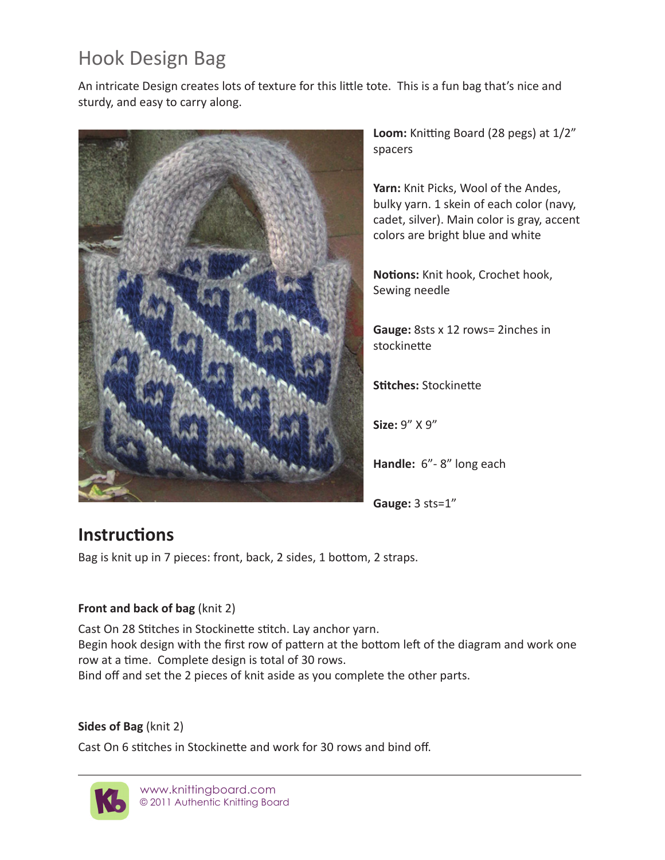# Hook Design Bag

An intricate Design creates lots of texture for this little tote. This is a fun bag that's nice and sturdy, and easy to carry along.



**Loom:** Knitting Board (28 pegs) at 1/2" spacers

**Yarn:** Knit Picks, Wool of the Andes, bulky yarn. 1 skein of each color (navy, cadet, silver). Main color is gray, accent colors are bright blue and white

**Notions:** Knit hook, Crochet hook, Sewing needle

**Gauge:** 8sts x 12 rows= 2inches in stockinette

**Stitches:** Stockinette

**Size:** 9" X 9"

**Handle:** 6"- 8" long each

**Gauge:** 3 sts=1"

# **Instructions**

Bag is knit up in 7 pieces: front, back, 2 sides, 1 bottom, 2 straps.

#### **Front and back of bag** (knit 2)

Cast On 28 Stitches in Stockinette stitch. Lay anchor yarn. Begin hook design with the first row of pattern at the bottom left of the diagram and work one row at a time. Complete design is total of 30 rows. Bind off and set the 2 pieces of knit aside as you complete the other parts.

#### **Sides of Bag** (knit 2)

Cast On 6 stitches in Stockinette and work for 30 rows and bind off.